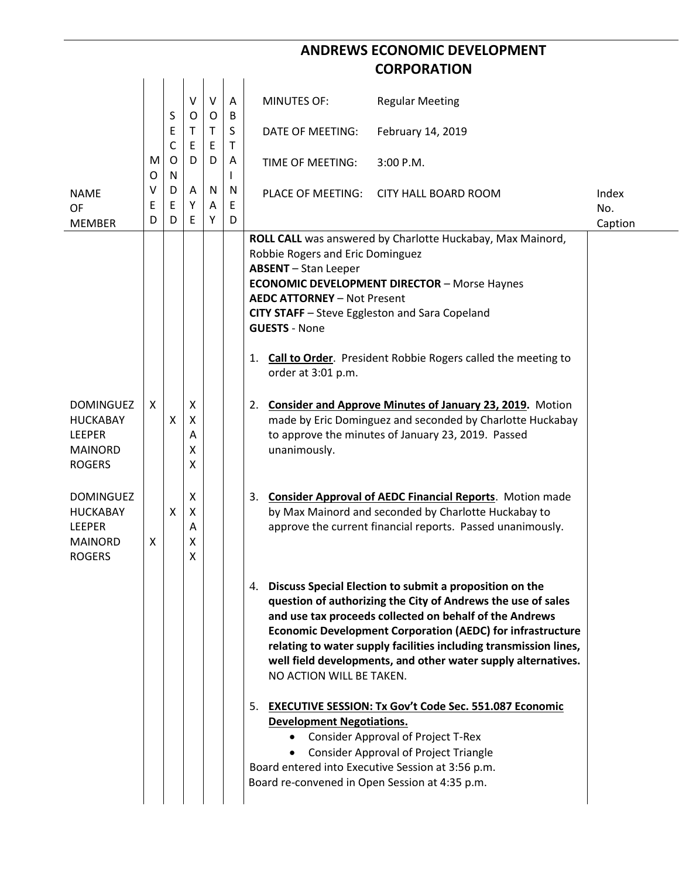## **ANDREWS ECONOMIC DEVELOPMENT CORPORATION**

|                                                                                         |                  | S              | V<br>O                | $\vee$<br>O | A<br>B      | <b>MINUTES OF:</b><br><b>Regular Meeting</b>                                                                                                                                                                                                                                                                                                                                                                                 |                      |                         |
|-----------------------------------------------------------------------------------------|------------------|----------------|-----------------------|-------------|-------------|------------------------------------------------------------------------------------------------------------------------------------------------------------------------------------------------------------------------------------------------------------------------------------------------------------------------------------------------------------------------------------------------------------------------------|----------------------|-------------------------|
|                                                                                         |                  | E<br>C         | Τ<br>E                | T.<br>E     | S<br>T      | DATE OF MEETING:<br>February 14, 2019                                                                                                                                                                                                                                                                                                                                                                                        |                      |                         |
|                                                                                         | M<br>O           | 0<br>${\sf N}$ | D                     | D           | Α           | 3:00 P.M.<br>TIME OF MEETING:                                                                                                                                                                                                                                                                                                                                                                                                |                      |                         |
| <b>NAME</b><br>OF<br><b>MEMBER</b>                                                      | $\vee$<br>E<br>D | D<br>E<br>D    | Α<br>Y<br>E           | N<br>Α<br>Υ | N<br>E<br>D | <b>PLACE OF MEETING:</b>                                                                                                                                                                                                                                                                                                                                                                                                     | CITY HALL BOARD ROOM | Index<br>No.<br>Caption |
|                                                                                         |                  |                |                       |             |             | ROLL CALL was answered by Charlotte Huckabay, Max Mainord,<br>Robbie Rogers and Eric Dominguez<br><b>ABSENT</b> - Stan Leeper<br><b>ECONOMIC DEVELOPMENT DIRECTOR - Morse Haynes</b><br><b>AEDC ATTORNEY - Not Present</b><br>CITY STAFF - Steve Eggleston and Sara Copeland<br><b>GUESTS - None</b><br>1. Call to Order. President Robbie Rogers called the meeting to<br>order at 3:01 p.m.                                |                      |                         |
| <b>DOMINGUEZ</b><br><b>HUCKABAY</b><br><b>LEEPER</b><br><b>MAINORD</b><br><b>ROGERS</b> | X                | X              | X<br>X<br>A<br>X<br>X |             |             | 2. Consider and Approve Minutes of January 23, 2019. Motion<br>made by Eric Dominguez and seconded by Charlotte Huckabay<br>to approve the minutes of January 23, 2019. Passed<br>unanimously.                                                                                                                                                                                                                               |                      |                         |
| <b>DOMINGUEZ</b><br><b>HUCKABAY</b><br><b>LEEPER</b><br><b>MAINORD</b><br><b>ROGERS</b> | X                | X              | X<br>X<br>A<br>Χ<br>X |             |             | 3. Consider Approval of AEDC Financial Reports. Motion made<br>by Max Mainord and seconded by Charlotte Huckabay to<br>approve the current financial reports. Passed unanimously.                                                                                                                                                                                                                                            |                      |                         |
|                                                                                         |                  |                |                       |             |             | 4. Discuss Special Election to submit a proposition on the<br>question of authorizing the City of Andrews the use of sales<br>and use tax proceeds collected on behalf of the Andrews<br><b>Economic Development Corporation (AEDC) for infrastructure</b><br>relating to water supply facilities including transmission lines,<br>well field developments, and other water supply alternatives.<br>NO ACTION WILL BE TAKEN. |                      |                         |
|                                                                                         |                  |                |                       |             |             | 5. EXECUTIVE SESSION: Tx Gov't Code Sec. 551.087 Economic<br><b>Development Negotiations.</b><br><b>Consider Approval of Project T-Rex</b><br>$\bullet$<br><b>Consider Approval of Project Triangle</b><br>Board entered into Executive Session at 3:56 p.m.<br>Board re-convened in Open Session at 4:35 p.m.                                                                                                               |                      |                         |